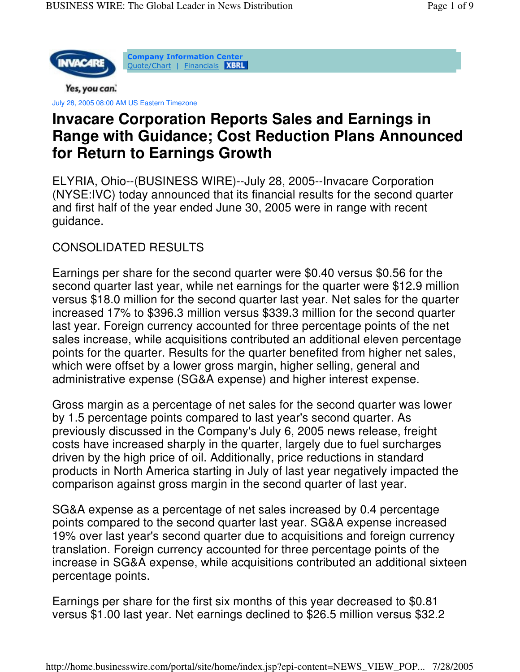

**Company Information Center** <u> Quote/Chart</u> | <u>Financials</u>

Yes, you can.

July 28, 2005 08:00 AM US Eastern Timezone

# **Invacare Corporation Reports Sales and Earnings in Range with Guidance; Cost Reduction Plans Announced for Return to Earnings Growth**

ELYRIA, Ohio--(BUSINESS WIRE)--July 28, 2005--Invacare Corporation (NYSE:IVC) today announced that its financial results for the second quarter and first half of the year ended June 30, 2005 were in range with recent guidance.

# CONSOLIDATED RESULTS

Earnings per share for the second quarter were \$0.40 versus \$0.56 for the second quarter last year, while net earnings for the quarter were \$12.9 million versus \$18.0 million for the second quarter last year. Net sales for the quarter increased 17% to \$396.3 million versus \$339.3 million for the second quarter last year. Foreign currency accounted for three percentage points of the net sales increase, while acquisitions contributed an additional eleven percentage points for the quarter. Results for the quarter benefited from higher net sales, which were offset by a lower gross margin, higher selling, general and administrative expense (SG&A expense) and higher interest expense.

Gross margin as a percentage of net sales for the second quarter was lower by 1.5 percentage points compared to last year's second quarter. As previously discussed in the Company's July 6, 2005 news release, freight costs have increased sharply in the quarter, largely due to fuel surcharges driven by the high price of oil. Additionally, price reductions in standard products in North America starting in July of last year negatively impacted the comparison against gross margin in the second quarter of last year.

SG&A expense as a percentage of net sales increased by 0.4 percentage points compared to the second quarter last year. SG&A expense increased 19% over last year's second quarter due to acquisitions and foreign currency translation. Foreign currency accounted for three percentage points of the increase in SG&A expense, while acquisitions contributed an additional sixteen percentage points.

Earnings per share for the first six months of this year decreased to \$0.81 versus \$1.00 last year. Net earnings declined to \$26.5 million versus \$32.2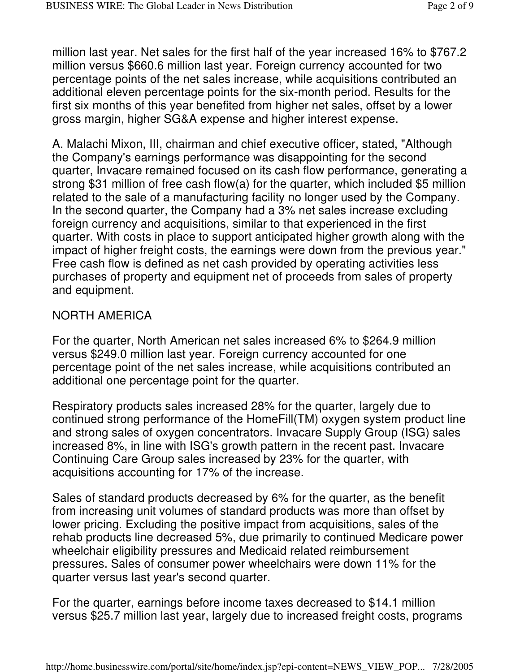million last year. Net sales for the first half of the year increased 16% to \$767.2 million versus \$660.6 million last year. Foreign currency accounted for two percentage points of the net sales increase, while acquisitions contributed an additional eleven percentage points for the six-month period. Results for the first six months of this year benefited from higher net sales, offset by a lower gross margin, higher SG&A expense and higher interest expense.

A. Malachi Mixon, III, chairman and chief executive officer, stated, "Although the Company's earnings performance was disappointing for the second quarter, Invacare remained focused on its cash flow performance, generating a strong \$31 million of free cash flow(a) for the quarter, which included \$5 million related to the sale of a manufacturing facility no longer used by the Company. In the second quarter, the Company had a 3% net sales increase excluding foreign currency and acquisitions, similar to that experienced in the first quarter. With costs in place to support anticipated higher growth along with the impact of higher freight costs, the earnings were down from the previous year." Free cash flow is defined as net cash provided by operating activities less purchases of property and equipment net of proceeds from sales of property and equipment.

# NORTH AMERICA

For the quarter, North American net sales increased 6% to \$264.9 million versus \$249.0 million last year. Foreign currency accounted for one percentage point of the net sales increase, while acquisitions contributed an additional one percentage point for the quarter.

Respiratory products sales increased 28% for the quarter, largely due to continued strong performance of the HomeFill(TM) oxygen system product line and strong sales of oxygen concentrators. Invacare Supply Group (ISG) sales increased 8%, in line with ISG's growth pattern in the recent past. Invacare Continuing Care Group sales increased by 23% for the quarter, with acquisitions accounting for 17% of the increase.

Sales of standard products decreased by 6% for the quarter, as the benefit from increasing unit volumes of standard products was more than offset by lower pricing. Excluding the positive impact from acquisitions, sales of the rehab products line decreased 5%, due primarily to continued Medicare power wheelchair eligibility pressures and Medicaid related reimbursement pressures. Sales of consumer power wheelchairs were down 11% for the quarter versus last year's second quarter.

For the quarter, earnings before income taxes decreased to \$14.1 million versus \$25.7 million last year, largely due to increased freight costs, programs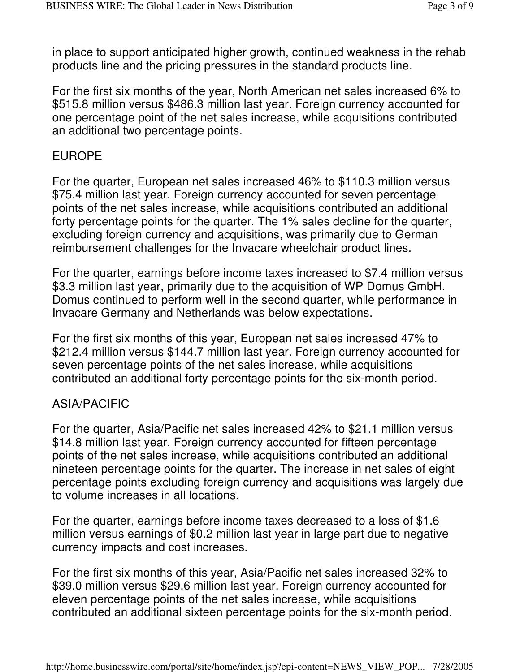in place to support anticipated higher growth, continued weakness in the rehab products line and the pricing pressures in the standard products line.

For the first six months of the year, North American net sales increased 6% to \$515.8 million versus \$486.3 million last year. Foreign currency accounted for one percentage point of the net sales increase, while acquisitions contributed an additional two percentage points.

### EUROPE

For the quarter, European net sales increased 46% to \$110.3 million versus \$75.4 million last year. Foreign currency accounted for seven percentage points of the net sales increase, while acquisitions contributed an additional forty percentage points for the quarter. The 1% sales decline for the quarter, excluding foreign currency and acquisitions, was primarily due to German reimbursement challenges for the Invacare wheelchair product lines.

For the quarter, earnings before income taxes increased to \$7.4 million versus \$3.3 million last year, primarily due to the acquisition of WP Domus GmbH. Domus continued to perform well in the second quarter, while performance in Invacare Germany and Netherlands was below expectations.

For the first six months of this year, European net sales increased 47% to \$212.4 million versus \$144.7 million last year. Foreign currency accounted for seven percentage points of the net sales increase, while acquisitions contributed an additional forty percentage points for the six-month period.

### ASIA/PACIFIC

For the quarter, Asia/Pacific net sales increased 42% to \$21.1 million versus \$14.8 million last year. Foreign currency accounted for fifteen percentage points of the net sales increase, while acquisitions contributed an additional nineteen percentage points for the quarter. The increase in net sales of eight percentage points excluding foreign currency and acquisitions was largely due to volume increases in all locations.

For the quarter, earnings before income taxes decreased to a loss of \$1.6 million versus earnings of \$0.2 million last year in large part due to negative currency impacts and cost increases.

For the first six months of this year, Asia/Pacific net sales increased 32% to \$39.0 million versus \$29.6 million last year. Foreign currency accounted for eleven percentage points of the net sales increase, while acquisitions contributed an additional sixteen percentage points for the six-month period.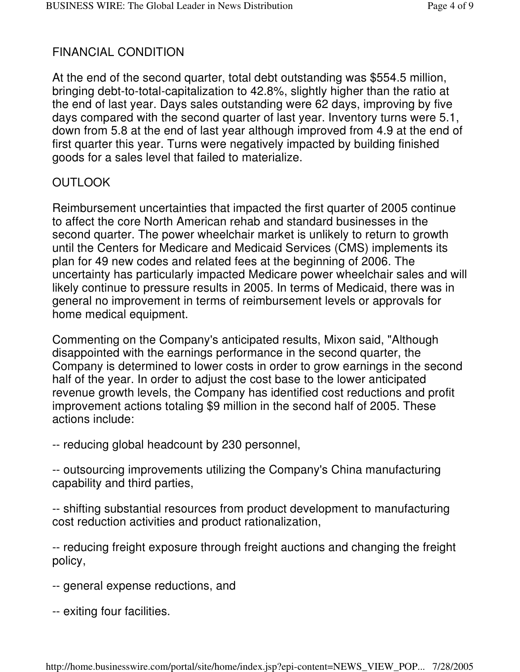# FINANCIAL CONDITION

At the end of the second quarter, total debt outstanding was \$554.5 million, bringing debt-to-total-capitalization to 42.8%, slightly higher than the ratio at the end of last year. Days sales outstanding were 62 days, improving by five days compared with the second quarter of last year. Inventory turns were 5.1, down from 5.8 at the end of last year although improved from 4.9 at the end of first quarter this year. Turns were negatively impacted by building finished goods for a sales level that failed to materialize.

### **OUTLOOK**

Reimbursement uncertainties that impacted the first quarter of 2005 continue to affect the core North American rehab and standard businesses in the second quarter. The power wheelchair market is unlikely to return to growth until the Centers for Medicare and Medicaid Services (CMS) implements its plan for 49 new codes and related fees at the beginning of 2006. The uncertainty has particularly impacted Medicare power wheelchair sales and will likely continue to pressure results in 2005. In terms of Medicaid, there was in general no improvement in terms of reimbursement levels or approvals for home medical equipment.

Commenting on the Company's anticipated results, Mixon said, "Although disappointed with the earnings performance in the second quarter, the Company is determined to lower costs in order to grow earnings in the second half of the year. In order to adjust the cost base to the lower anticipated revenue growth levels, the Company has identified cost reductions and profit improvement actions totaling \$9 million in the second half of 2005. These actions include:

-- reducing global headcount by 230 personnel,

-- outsourcing improvements utilizing the Company's China manufacturing capability and third parties,

-- shifting substantial resources from product development to manufacturing cost reduction activities and product rationalization,

-- reducing freight exposure through freight auctions and changing the freight policy,

- -- general expense reductions, and
- -- exiting four facilities.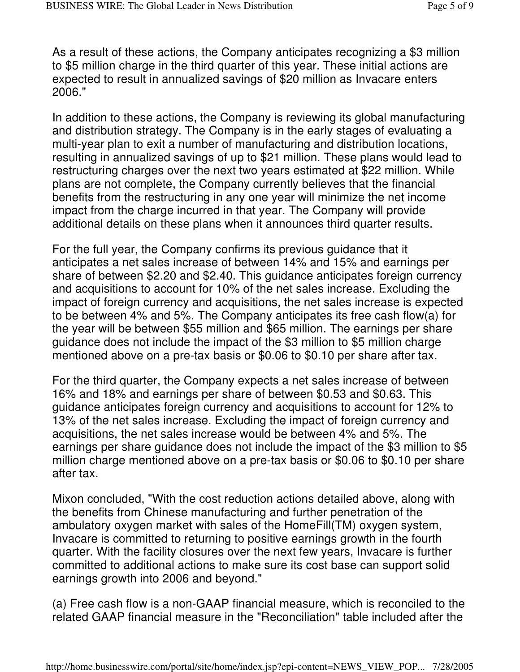As a result of these actions, the Company anticipates recognizing a \$3 million to \$5 million charge in the third quarter of this year. These initial actions are expected to result in annualized savings of \$20 million as Invacare enters 2006."

In addition to these actions, the Company is reviewing its global manufacturing and distribution strategy. The Company is in the early stages of evaluating a multi-year plan to exit a number of manufacturing and distribution locations, resulting in annualized savings of up to \$21 million. These plans would lead to restructuring charges over the next two years estimated at \$22 million. While plans are not complete, the Company currently believes that the financial benefits from the restructuring in any one year will minimize the net income impact from the charge incurred in that year. The Company will provide additional details on these plans when it announces third quarter results.

For the full year, the Company confirms its previous guidance that it anticipates a net sales increase of between 14% and 15% and earnings per share of between \$2.20 and \$2.40. This guidance anticipates foreign currency and acquisitions to account for 10% of the net sales increase. Excluding the impact of foreign currency and acquisitions, the net sales increase is expected to be between 4% and 5%. The Company anticipates its free cash flow(a) for the year will be between \$55 million and \$65 million. The earnings per share guidance does not include the impact of the \$3 million to \$5 million charge mentioned above on a pre-tax basis or \$0.06 to \$0.10 per share after tax.

For the third quarter, the Company expects a net sales increase of between 16% and 18% and earnings per share of between \$0.53 and \$0.63. This guidance anticipates foreign currency and acquisitions to account for 12% to 13% of the net sales increase. Excluding the impact of foreign currency and acquisitions, the net sales increase would be between 4% and 5%. The earnings per share guidance does not include the impact of the \$3 million to \$5 million charge mentioned above on a pre-tax basis or \$0.06 to \$0.10 per share after tax.

Mixon concluded, "With the cost reduction actions detailed above, along with the benefits from Chinese manufacturing and further penetration of the ambulatory oxygen market with sales of the HomeFill(TM) oxygen system, Invacare is committed to returning to positive earnings growth in the fourth quarter. With the facility closures over the next few years, Invacare is further committed to additional actions to make sure its cost base can support solid earnings growth into 2006 and beyond."

(a) Free cash flow is a non-GAAP financial measure, which is reconciled to the related GAAP financial measure in the "Reconciliation" table included after the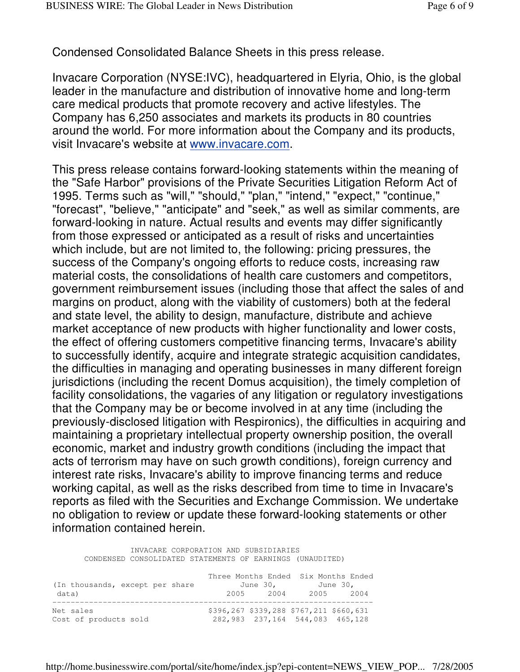Condensed Consolidated Balance Sheets in this press release.

Invacare Corporation (NYSE:IVC), headquartered in Elyria, Ohio, is the global leader in the manufacture and distribution of innovative home and long-term care medical products that promote recovery and active lifestyles. The Company has 6,250 associates and markets its products in 80 countries around the world. For more information about the Company and its products, visit Invacare's website at www.invacare.com.

This press release contains forward-looking statements within the meaning of the "Safe Harbor" provisions of the Private Securities Litigation Reform Act of 1995. Terms such as "will," "should," "plan," "intend," "expect," "continue," "forecast", "believe," "anticipate" and "seek," as well as similar comments, are forward-looking in nature. Actual results and events may differ significantly from those expressed or anticipated as a result of risks and uncertainties which include, but are not limited to, the following: pricing pressures, the success of the Company's ongoing efforts to reduce costs, increasing raw material costs, the consolidations of health care customers and competitors, government reimbursement issues (including those that affect the sales of and margins on product, along with the viability of customers) both at the federal and state level, the ability to design, manufacture, distribute and achieve market acceptance of new products with higher functionality and lower costs, the effect of offering customers competitive financing terms, Invacare's ability to successfully identify, acquire and integrate strategic acquisition candidates, the difficulties in managing and operating businesses in many different foreign jurisdictions (including the recent Domus acquisition), the timely completion of facility consolidations, the vagaries of any litigation or regulatory investigations that the Company may be or become involved in at any time (including the previously-disclosed litigation with Respironics), the difficulties in acquiring and maintaining a proprietary intellectual property ownership position, the overall economic, market and industry growth conditions (including the impact that acts of terrorism may have on such growth conditions), foreign currency and interest rate risks, Invacare's ability to improve financing terms and reduce working capital, as well as the risks described from time to time in Invacare's reports as filed with the Securities and Exchange Commission. We undertake no obligation to review or update these forward-looking statements or other information contained herein.

INVACARE CORPORATION AND SUBSIDIARIES CONDENSED CONSOLIDATED STATEMENTS OF EARNINGS (UNAUDITED) Three Months Ended Six Months Ended

| (In thousands, except per share |                                         | June 30, |      | June 30, |
|---------------------------------|-----------------------------------------|----------|------|----------|
| data)                           | 2005                                    | 2004     | 2005 | 2004     |
|                                 |                                         |          |      |          |
| Net sales                       | \$396,267 \$339,288 \$767,211 \$660,631 |          |      |          |
| Cost of products sold           | 282,983 237,164 544,083 465,128         |          |      |          |

http://home.businesswire.com/portal/site/home/index.jsp?epi-content=NEWS\_VIEW\_POP... 7/28/2005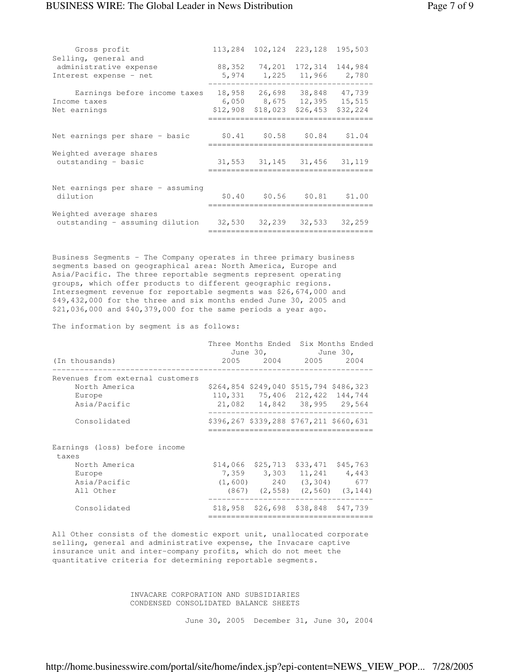#### BUSINESS WIRE: The Global Leader in News Distribution Page 7 of 9

| Gross profit<br>Selling, general and                                                           | 113,284 102,124 223,128 |                                                                      | 195,503  |
|------------------------------------------------------------------------------------------------|-------------------------|----------------------------------------------------------------------|----------|
| administrative expense<br>Interest expense - net                                               |                         | 88, 352 74, 201 172, 314<br>5,974 1,225 11,966 2,780                 | 144,984  |
| Earnings before income taxes<br>Income taxes<br>Net earnings                                   | \$12,908 \$18,023       | 18,958 26,698 38,848 47,739<br>6,050 8,675 12,395 15,515<br>\$26,453 | \$32,224 |
| Net earnings per share - basic                                                                 |                         | \$0.41 \$0.58 \$0.84                                                 | \$1.04   |
| Weighted average shares<br>outstanding - basic                                                 |                         | 31,553 31,145 31,456 31,119                                          |          |
| Net earnings per share - assuming<br>dilution                                                  |                         | $$0.40$ $$0.56$ $$0.81$ $$1.00$                                      |          |
| Weighted average shares<br>outstanding - assuming dilution $32,530$ $32,239$ $32,533$ $32,259$ |                         |                                                                      |          |

Business Segments - The Company operates in three primary business segments based on geographical area: North America, Europe and Asia/Pacific. The three reportable segments represent operating groups, which offer products to different geographic regions. Intersegment revenue for reportable segments was \$26,674,000 and \$49,432,000 for the three and six months ended June 30, 2005 and \$21,036,000 and \$40,379,000 for the same periods a year ago.

The information by segment is as follows:

|                                                                             |  | June 30, June 30,                                                                                            | Three Months Ended Six Months Ended      |
|-----------------------------------------------------------------------------|--|--------------------------------------------------------------------------------------------------------------|------------------------------------------|
| (In thousands)                                                              |  | 2005 2004 2005 2004                                                                                          |                                          |
| Revenues from external customers<br>North America<br>Europe<br>Asia/Pacific |  | \$264,854 \$249,040 \$515,794 \$486,323<br>110, 331 75, 406 212, 422 144, 744<br>21,082 14,842 38,995 29,564 |                                          |
| Consolidated                                                                |  | \$396,267 \$339,288 \$767,211 \$660,631                                                                      |                                          |
| Earnings (loss) before income<br>taxes                                      |  |                                                                                                              |                                          |
| North America<br>Europe<br>Asia/Pacific<br>All Other                        |  | $$14,066$ $$25,713$ $$33,471$ $$45,763$<br>7,359 3,303 11,241 4,443<br>$(1, 600)$ 240 $(3, 304)$ 677         | $(867)$ $(2, 558)$ $(2, 560)$ $(3, 144)$ |
| Consolidated                                                                |  | $$18,958$ $$26,698$ $$38,848$ $$47,739$                                                                      |                                          |

All Other consists of the domestic export unit, unallocated corporate selling, general and administrative expense, the Invacare captive insurance unit and inter-company profits, which do not meet the quantitative criteria for determining reportable segments.

> INVACARE CORPORATION AND SUBSIDIARIES CONDENSED CONSOLIDATED BALANCE SHEETS

> > June 30, 2005 December 31, June 30, 2004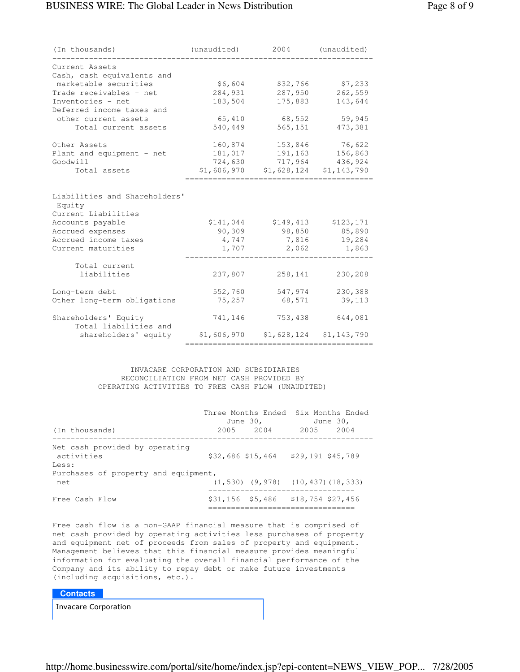| (In thousands)                                                                                         | (unaudited)         | 2004                | (unaudited)         |
|--------------------------------------------------------------------------------------------------------|---------------------|---------------------|---------------------|
| Current Assets<br>Cash, cash equivalents and                                                           |                     |                     |                     |
| marketable securities                                                                                  | \$6,604             | \$32,766            | \$7,233             |
| Trade receivables - net                                                                                | 284,931             | 287,950             | 262,559             |
| Inventories - net                                                                                      | 183,504             | 175,883             | 143,644             |
| Deferred income taxes and                                                                              |                     |                     |                     |
| other current assets                                                                                   | 65,410              | 68,552              | 59,945              |
| Total current assets                                                                                   | 540,449             | 565,151             | 473,381             |
| Other Assets                                                                                           | 160,874             | 153,846             | 76,622              |
| Plant and equipment - net                                                                              | 181,017             | 191,163             | 156,863             |
| Goodwill                                                                                               | 724,630             | 717,964             | 436,924             |
| Total assets                                                                                           | \$1,606,970         | \$1,628,124         | \$1,143,790         |
| Liabilities and Shareholders'<br>Equity<br>Current Liabilities<br>Accounts payable<br>Accrued expenses | \$141,044<br>90,309 | \$149,413<br>98,850 | \$123,171<br>85,890 |
| Accrued income taxes                                                                                   | 4,747               | 7,816               | 19,284              |
| Current maturities                                                                                     | 1,707               | 2,062               | 1,863               |
| Total current                                                                                          |                     |                     |                     |
| liabilities                                                                                            | 237,807             | 258,141             | 230,208             |
| Long-term debt                                                                                         | 552,760             | 547,974             | 230,388             |
| Other long-term obligations                                                                            | 75,257              | 68,571              | 39,113              |
| Shareholders' Equity<br>Total liabilities and                                                          | 741,146             | 753,438             | 644,081             |
| shareholders' equity                                                                                   | \$1,606,970         | \$1,628,124         | \$1,143,790         |

#### INVACARE CORPORATION AND SUBSIDIARIES RECONCILIATION FROM NET CASH PROVIDED BY OPERATING ACTIVITIES TO FREE CASH FLOW (UNAUDITED)

| (In thousands)                                        | Three Months Ended Six Months Ended<br>June 30,<br>2005 2004 | June 30,<br>2005 2004                         |
|-------------------------------------------------------|--------------------------------------------------------------|-----------------------------------------------|
| Net cash provided by operating<br>activities<br>Less: | \$32,686 \$15,464 \$29,191 \$45,789                          |                                               |
| Purchases of property and equipment,<br>net           |                                                              | $(1, 530)$ $(9, 978)$ $(10, 437)$ $(18, 333)$ |
| Free Cash Flow                                        | $$31,156$ $$5,486$ $$18,754$ $$27,456$                       |                                               |

Free cash flow is a non-GAAP financial measure that is comprised of net cash provided by operating activities less purchases of property and equipment net of proceeds from sales of property and equipment. Management believes that this financial measure provides meaningful information for evaluating the overall financial performance of the Company and its ability to repay debt or make future investments (including acquisitions, etc.).

#### **Contacts**

**Invacare Corporation**